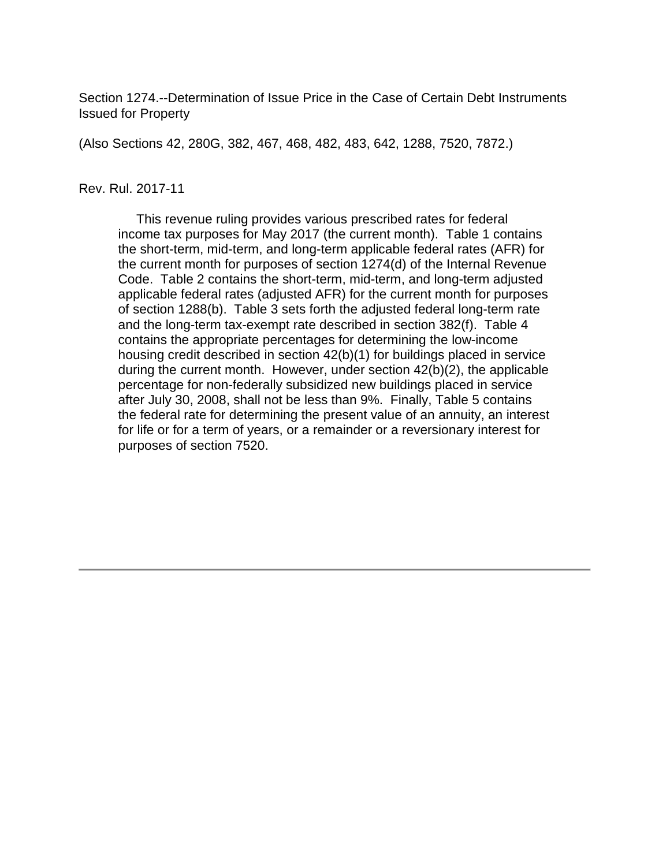Section 1274.--Determination of Issue Price in the Case of Certain Debt Instruments Issued for Property

(Also Sections 42, 280G, 382, 467, 468, 482, 483, 642, 1288, 7520, 7872.)

#### Rev. Rul. 2017-11

 This revenue ruling provides various prescribed rates for federal income tax purposes for May 2017 (the current month). Table 1 contains the short-term, mid-term, and long-term applicable federal rates (AFR) for the current month for purposes of section 1274(d) of the Internal Revenue Code. Table 2 contains the short-term, mid-term, and long-term adjusted applicable federal rates (adjusted AFR) for the current month for purposes of section 1288(b). Table 3 sets forth the adjusted federal long-term rate and the long-term tax-exempt rate described in section 382(f). Table 4 contains the appropriate percentages for determining the low-income housing credit described in section 42(b)(1) for buildings placed in service during the current month. However, under section 42(b)(2), the applicable percentage for non-federally subsidized new buildings placed in service after July 30, 2008, shall not be less than 9%. Finally, Table 5 contains the federal rate for determining the present value of an annuity, an interest for life or for a term of years, or a remainder or a reversionary interest for purposes of section 7520.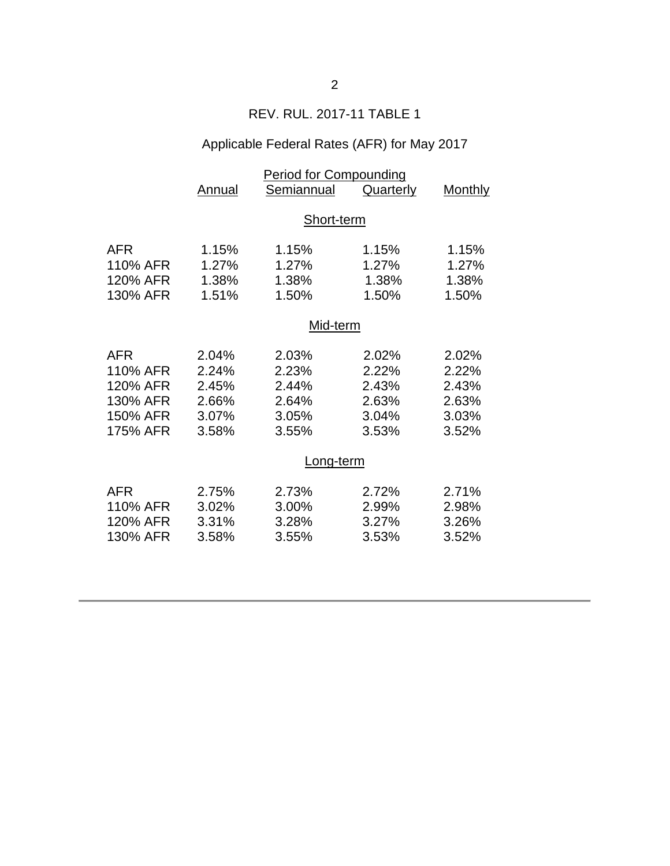## REV. RUL. 2017-11 TABLE 1

## Applicable Federal Rates (AFR) for May 2017

|            | <b>Period for Compounding</b> |            |           |                |  |
|------------|-------------------------------|------------|-----------|----------------|--|
|            | <b>Annual</b>                 | Semiannual | Quarterly | <b>Monthly</b> |  |
|            |                               |            |           |                |  |
|            | Short-term                    |            |           |                |  |
|            |                               |            |           |                |  |
| <b>AFR</b> | 1.15%                         | 1.15%      | 1.15%     | 1.15%          |  |
| 110% AFR   | 1.27%                         | 1.27%      | 1.27%     | 1.27%          |  |
| 120% AFR   | 1.38%                         | 1.38%      | 1.38%     | 1.38%          |  |
| 130% AFR   | 1.51%                         | 1.50%      | 1.50%     | 1.50%          |  |
|            |                               |            |           |                |  |
|            | Mid-term                      |            |           |                |  |
| <b>AFR</b> | 2.04%                         | 2.03%      | 2.02%     | 2.02%          |  |
| 110% AFR   | 2.24%                         | 2.23%      | 2.22%     | 2.22%          |  |
| 120% AFR   | 2.45%                         | 2.44%      | 2.43%     | 2.43%          |  |
| 130% AFR   | 2.66%                         | 2.64%      | 2.63%     | 2.63%          |  |
| 150% AFR   | 3.07%                         | 3.05%      | 3.04%     | 3.03%          |  |
| 175% AFR   | 3.58%                         | 3.55%      | 3.53%     | 3.52%          |  |
|            |                               |            |           |                |  |
|            | Long-term                     |            |           |                |  |
| <b>AFR</b> | 2.75%                         | 2.73%      | 2.72%     | 2.71%          |  |
| 110% AFR   | 3.02%                         | 3.00%      | 2.99%     | 2.98%          |  |
| 120% AFR   | 3.31%                         | 3.28%      | 3.27%     |                |  |
|            |                               |            |           | 3.26%          |  |
| 130% AFR   | 3.58%                         | 3.55%      | 3.53%     | 3.52%          |  |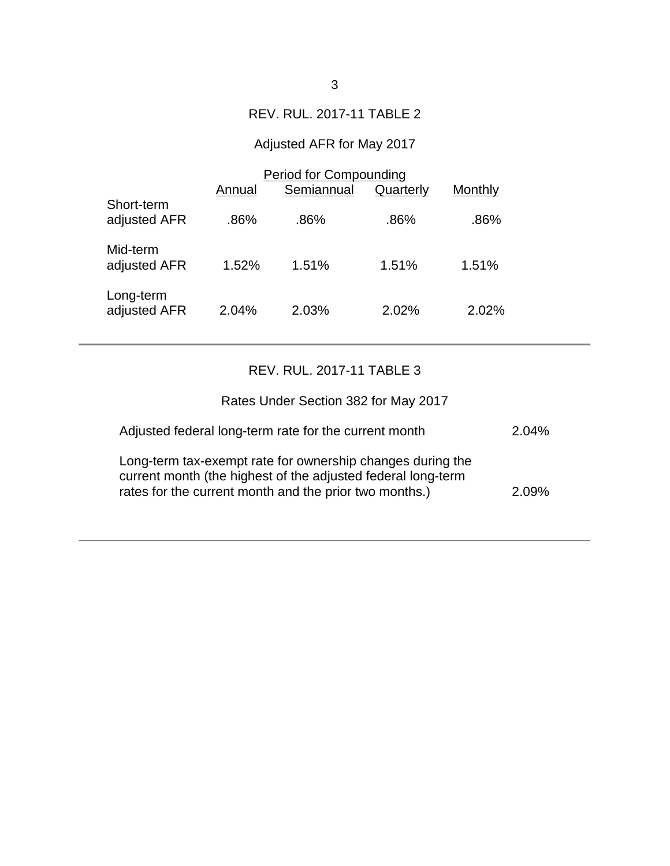### REV. RUL. 2017-11 TABLE 2

# Adjusted AFR for May 2017

|                            | <b>Period for Compounding</b> |            |           |         |  |
|----------------------------|-------------------------------|------------|-----------|---------|--|
|                            | Annual                        | Semiannual | Quarterly | Monthly |  |
| Short-term<br>adjusted AFR | .86%                          | .86%       | .86%      | .86%    |  |
| Mid-term<br>adjusted AFR   | 1.52%                         | 1.51%      | 1.51%     | 1.51%   |  |
| Long-term<br>adjusted AFR  | 2.04%                         | 2.03%      | 2.02%     | 2.02%   |  |

## REV. RUL. 2017-11 TABLE 3

| Rates Under Section 382 for May 2017                                                                                                                                                 |       |
|--------------------------------------------------------------------------------------------------------------------------------------------------------------------------------------|-------|
| Adjusted federal long-term rate for the current month                                                                                                                                | 2.04% |
| Long-term tax-exempt rate for ownership changes during the<br>current month (the highest of the adjusted federal long-term<br>rates for the current month and the prior two months.) | 2.09% |